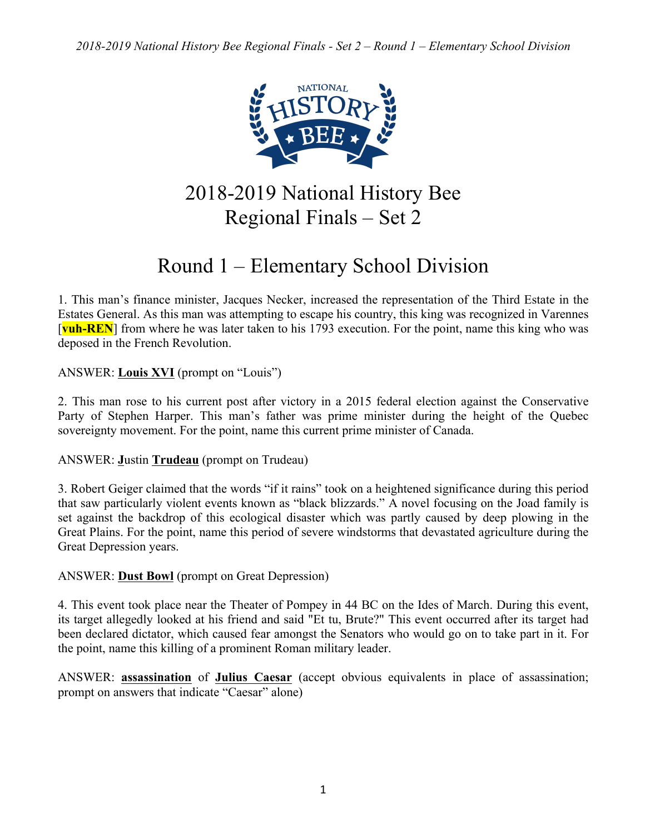

2018-2019 National History Bee Regional Finals – Set 2

# Round 1 – Elementary School Division

1. This man's finance minister, Jacques Necker, increased the representation of the Third Estate in the Estates General. As this man was attempting to escape his country, this king was recognized in Varennes [**vuh-REN**] from where he was later taken to his 1793 execution. For the point, name this king who was deposed in the French Revolution.

ANSWER: **Louis XVI** (prompt on "Louis")

2. This man rose to his current post after victory in a 2015 federal election against the Conservative Party of Stephen Harper. This man's father was prime minister during the height of the Quebec sovereignty movement. For the point, name this current prime minister of Canada.

# ANSWER: **J**ustin **Trudeau** (prompt on Trudeau)

3. Robert Geiger claimed that the words "if it rains" took on a heightened significance during this period that saw particularly violent events known as "black blizzards." A novel focusing on the Joad family is set against the backdrop of this ecological disaster which was partly caused by deep plowing in the Great Plains. For the point, name this period of severe windstorms that devastated agriculture during the Great Depression years.

ANSWER: **Dust Bowl** (prompt on Great Depression)

4. This event took place near the Theater of Pompey in 44 BC on the Ides of March. During this event, its target allegedly looked at his friend and said "Et tu, Brute?" This event occurred after its target had been declared dictator, which caused fear amongst the Senators who would go on to take part in it. For the point, name this killing of a prominent Roman military leader.

ANSWER: **assassination** of **Julius Caesar** (accept obvious equivalents in place of assassination; prompt on answers that indicate "Caesar" alone)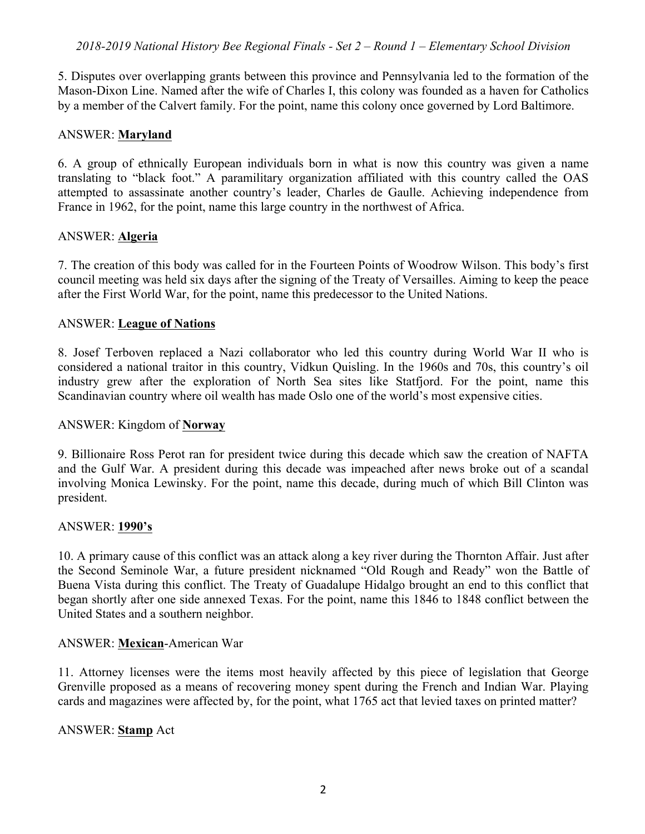5. Disputes over overlapping grants between this province and Pennsylvania led to the formation of the Mason-Dixon Line. Named after the wife of Charles I, this colony was founded as a haven for Catholics by a member of the Calvert family. For the point, name this colony once governed by Lord Baltimore.

#### ANSWER: **Maryland**

6. A group of ethnically European individuals born in what is now this country was given a name translating to "black foot." A paramilitary organization affiliated with this country called the OAS attempted to assassinate another country's leader, Charles de Gaulle. Achieving independence from France in 1962, for the point, name this large country in the northwest of Africa.

#### ANSWER: **Algeria**

7. The creation of this body was called for in the Fourteen Points of Woodrow Wilson. This body's first council meeting was held six days after the signing of the Treaty of Versailles. Aiming to keep the peace after the First World War, for the point, name this predecessor to the United Nations.

#### ANSWER: **League of Nations**

8. Josef Terboven replaced a Nazi collaborator who led this country during World War II who is considered a national traitor in this country, Vidkun Quisling. In the 1960s and 70s, this country's oil industry grew after the exploration of North Sea sites like Statfjord. For the point, name this Scandinavian country where oil wealth has made Oslo one of the world's most expensive cities.

#### ANSWER: Kingdom of **Norway**

9. Billionaire Ross Perot ran for president twice during this decade which saw the creation of NAFTA and the Gulf War. A president during this decade was impeached after news broke out of a scandal involving Monica Lewinsky. For the point, name this decade, during much of which Bill Clinton was president.

#### ANSWER: **1990's**

10. A primary cause of this conflict was an attack along a key river during the Thornton Affair. Just after the Second Seminole War, a future president nicknamed "Old Rough and Ready" won the Battle of Buena Vista during this conflict. The Treaty of Guadalupe Hidalgo brought an end to this conflict that began shortly after one side annexed Texas. For the point, name this 1846 to 1848 conflict between the United States and a southern neighbor.

#### ANSWER: **Mexican**-American War

11. Attorney licenses were the items most heavily affected by this piece of legislation that George Grenville proposed as a means of recovering money spent during the French and Indian War. Playing cards and magazines were affected by, for the point, what 1765 act that levied taxes on printed matter?

#### ANSWER: **Stamp** Act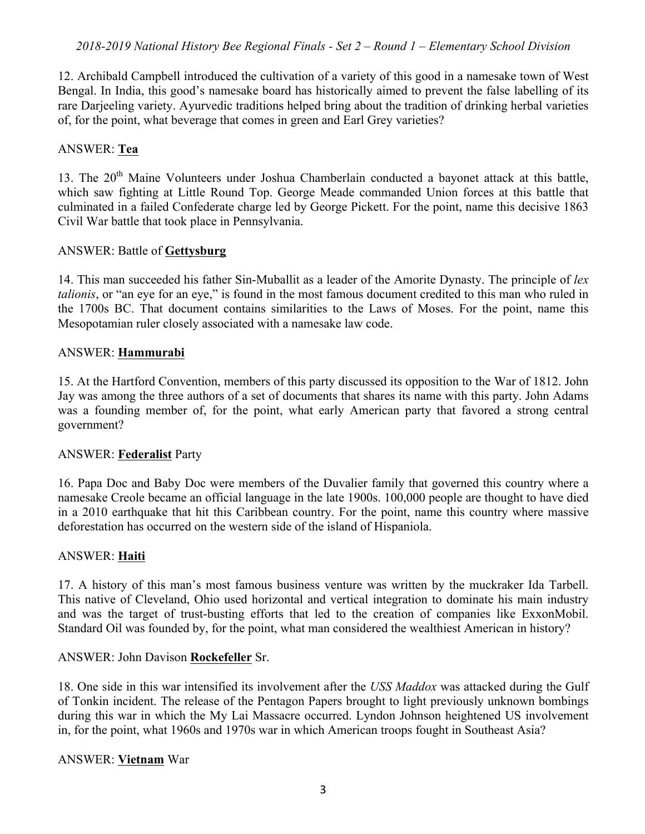12. Archibald Campbell introduced the cultivation of a variety of this good in a namesake town of West Bengal. In India, this good's namesake board has historically aimed to prevent the false labelling of its rare Darieeling variety. Ayurvedic traditions helped bring about the tradition of drinking herbal varieties of, for the point, what beverage that comes in green and Earl Grey varieties?

## ANSWER: **Tea**

13. The 20<sup>th</sup> Maine Volunteers under Joshua Chamberlain conducted a bayonet attack at this battle, which saw fighting at Little Round Top. George Meade commanded Union forces at this battle that culminated in a failed Confederate charge led by George Pickett. For the point, name this decisive 1863 Civil War battle that took place in Pennsylvania.

#### ANSWER: Battle of **Gettysburg**

14. This man succeeded his father Sin-Muballit as a leader of the Amorite Dynasty. The principle of *lex talionis*, or "an eye for an eye," is found in the most famous document credited to this man who ruled in the 1700s BC. That document contains similarities to the Laws of Moses. For the point, name this Mesopotamian ruler closely associated with a namesake law code.

#### ANSWER: **Hammurabi**

15. At the Hartford Convention, members of this party discussed its opposition to the War of 1812. John Jay was among the three authors of a set of documents that shares its name with this party. John Adams was a founding member of, for the point, what early American party that favored a strong central government?

#### ANSWER: **Federalist** Party

16. Papa Doc and Baby Doc were members of the Duvalier family that governed this country where a namesake Creole became an official language in the late 1900s. 100,000 people are thought to have died in a 2010 earthquake that hit this Caribbean country. For the point, name this country where massive deforestation has occurred on the western side of the island of Hispaniola.

#### ANSWER: **Haiti**

17. A history of this man's most famous business venture was written by the muckraker Ida Tarbell. This native of Cleveland, Ohio used horizontal and vertical integration to dominate his main industry and was the target of trust-busting efforts that led to the creation of companies like ExxonMobil. Standard Oil was founded by, for the point, what man considered the wealthiest American in history?

#### ANSWER: John Davison **Rockefeller** Sr.

18. One side in this war intensified its involvement after the *USS Maddox* was attacked during the Gulf of Tonkin incident. The release of the Pentagon Papers brought to light previously unknown bombings during this war in which the My Lai Massacre occurred. Lyndon Johnson heightened US involvement in, for the point, what 1960s and 1970s war in which American troops fought in Southeast Asia?

#### ANSWER: **Vietnam** War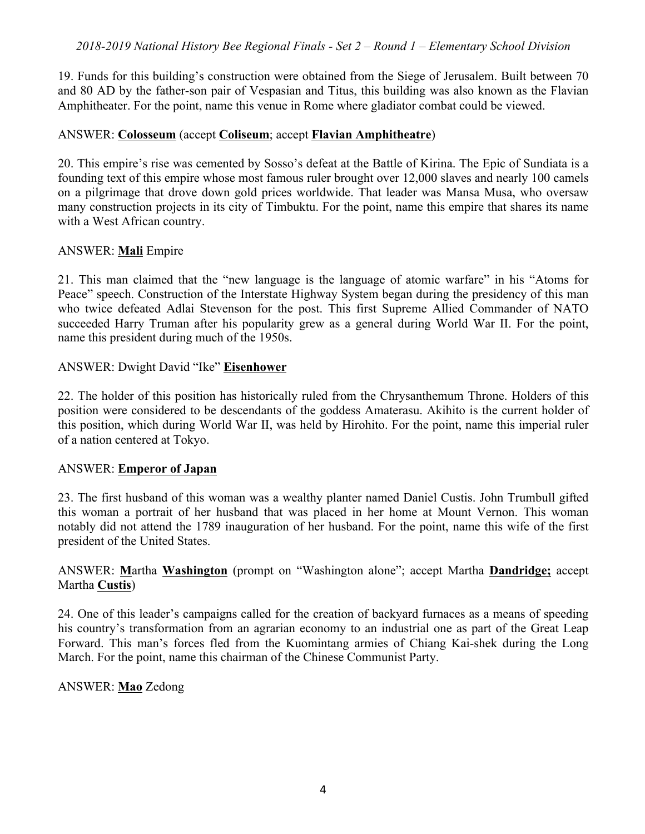19. Funds for this building's construction were obtained from the Siege of Jerusalem. Built between 70 and 80 AD by the father-son pair of Vespasian and Titus, this building was also known as the Flavian Amphitheater. For the point, name this venue in Rome where gladiator combat could be viewed.

#### ANSWER: **Colosseum** (accept **Coliseum**; accept **Flavian Amphitheatre**)

20. This empire's rise was cemented by Sosso's defeat at the Battle of Kirina. The Epic of Sundiata is a founding text of this empire whose most famous ruler brought over 12,000 slaves and nearly 100 camels on a pilgrimage that drove down gold prices worldwide. That leader was Mansa Musa, who oversaw many construction projects in its city of Timbuktu. For the point, name this empire that shares its name with a West African country.

#### ANSWER: **Mali** Empire

21. This man claimed that the "new language is the language of atomic warfare" in his "Atoms for Peace" speech. Construction of the Interstate Highway System began during the presidency of this man who twice defeated Adlai Stevenson for the post. This first Supreme Allied Commander of NATO succeeded Harry Truman after his popularity grew as a general during World War II. For the point, name this president during much of the 1950s.

#### ANSWER: Dwight David "Ike" **Eisenhower**

22. The holder of this position has historically ruled from the Chrysanthemum Throne. Holders of this position were considered to be descendants of the goddess Amaterasu. Akihito is the current holder of this position, which during World War II, was held by Hirohito. For the point, name this imperial ruler of a nation centered at Tokyo.

## ANSWER: **Emperor of Japan**

23. The first husband of this woman was a wealthy planter named Daniel Custis. John Trumbull gifted this woman a portrait of her husband that was placed in her home at Mount Vernon. This woman notably did not attend the 1789 inauguration of her husband. For the point, name this wife of the first president of the United States.

## ANSWER: **M**artha **Washington** (prompt on "Washington alone"; accept Martha **Dandridge;** accept Martha **Custis**)

24. One of this leader's campaigns called for the creation of backyard furnaces as a means of speeding his country's transformation from an agrarian economy to an industrial one as part of the Great Leap Forward. This man's forces fled from the Kuomintang armies of Chiang Kai-shek during the Long March. For the point, name this chairman of the Chinese Communist Party.

#### ANSWER: **Mao** Zedong